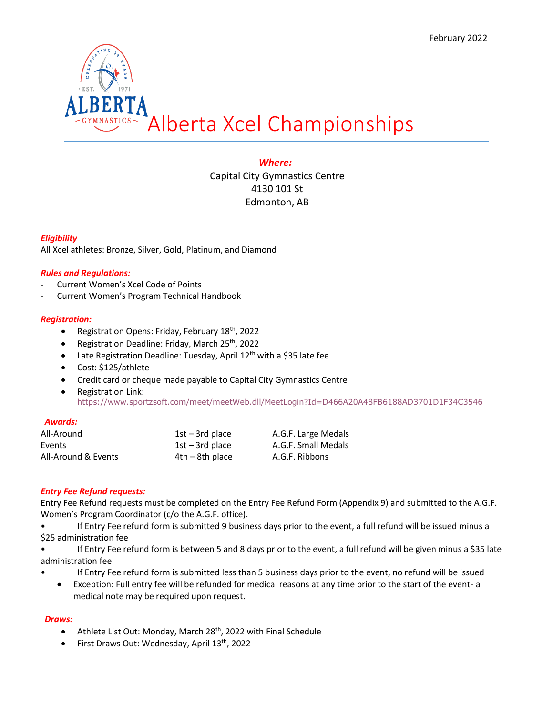

# *Where:*

Capital City Gymnastics Centre 4130 101 St Edmonton, AB

# *Eligibility*

All Xcel athletes: Bronze, Silver, Gold, Platinum, and Diamond

# *Rules and Regulations:*

- Current Women's Xcel Code of Points
- Current Women's Program Technical Handbook

## *Registration:*

- Registration Opens: Friday, February 18<sup>th</sup>, 2022
- Registration Deadline: Friday, March 25<sup>th</sup>, 2022
- Late Registration Deadline: Tuesday, April 12<sup>th</sup> with a \$35 late fee
- Cost: \$125/athlete
- Credit card or cheque made payable to Capital City Gymnastics Centre
- Registration Link: <https://www.sportzsoft.com/meet/meetWeb.dll/MeetLogin?Id=D466A20A48FB6188AD3701D1F34C3546>

### *Awards:*

| All-Around          | $1st - 3rd$ place | A.G.F. Large Medals |
|---------------------|-------------------|---------------------|
| Events              | $1st - 3rd$ place | A.G.F. Small Medals |
| All-Around & Events | $4th - 8th$ place | A.G.F. Ribbons      |

# *Entry Fee Refund requests:*

Entry Fee Refund requests must be completed on the Entry Fee Refund Form (Appendix 9) and submitted to the A.G.F. Women's Program Coordinator (c/o the A.G.F. office).

• If Entry Fee refund form is submitted 9 business days prior to the event, a full refund will be issued minus a \$25 administration fee

• If Entry Fee refund form is between 5 and 8 days prior to the event, a full refund will be given minus a \$35 late administration fee

- If Entry Fee refund form is submitted less than 5 business days prior to the event, no refund will be issued
	- Exception: Full entry fee will be refunded for medical reasons at any time prior to the start of the event- a medical note may be required upon request.

# *Draws:*

- Athlete List Out: Monday, March 28<sup>th</sup>, 2022 with Final Schedule
- First Draws Out: Wednesday, April  $13<sup>th</sup>$ , 2022